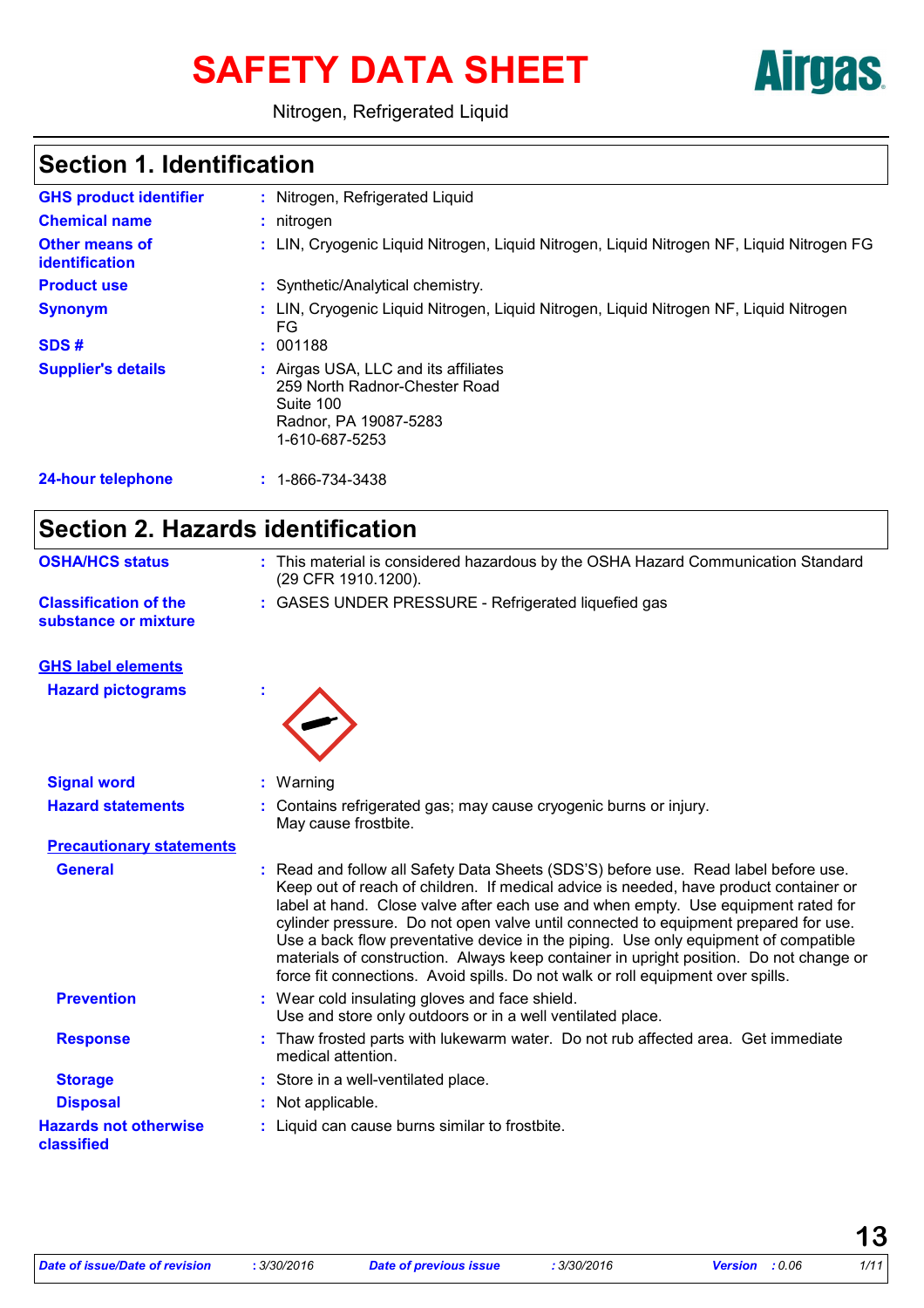# SAFETY DATA SHEET **Airgas**



Nitrogen, Refrigerated Liquid

# **Section 1. Identification**

| <b>GHS product identifier</b>                  | : Nitrogen, Refrigerated Liquid                                                                                               |  |  |
|------------------------------------------------|-------------------------------------------------------------------------------------------------------------------------------|--|--|
| <b>Chemical name</b>                           | $:$ nitrogen                                                                                                                  |  |  |
| <b>Other means of</b><br><i>identification</i> | : LIN, Cryogenic Liquid Nitrogen, Liquid Nitrogen, Liquid Nitrogen NF, Liquid Nitrogen FG                                     |  |  |
| <b>Product use</b>                             | : Synthetic/Analytical chemistry.                                                                                             |  |  |
| <b>Synonym</b>                                 | : LIN, Cryogenic Liquid Nitrogen, Liquid Nitrogen, Liquid Nitrogen NF, Liquid Nitrogen<br>FG                                  |  |  |
| SDS#                                           | : 001188                                                                                                                      |  |  |
| <b>Supplier's details</b>                      | : Airgas USA, LLC and its affiliates<br>259 North Radnor-Chester Road<br>Suite 100<br>Radnor, PA 19087-5283<br>1-610-687-5253 |  |  |
| 24-hour telephone                              | 1-866-734-3438                                                                                                                |  |  |
|                                                |                                                                                                                               |  |  |

# **Section 2. Hazards identification**

| <b>OSHA/HCS status</b>                               | : This material is considered hazardous by the OSHA Hazard Communication Standard<br>(29 CFR 1910.1200).                                                                                                                                                                                                                                                                                                                                                                                                                                                                                                                     |  |  |  |
|------------------------------------------------------|------------------------------------------------------------------------------------------------------------------------------------------------------------------------------------------------------------------------------------------------------------------------------------------------------------------------------------------------------------------------------------------------------------------------------------------------------------------------------------------------------------------------------------------------------------------------------------------------------------------------------|--|--|--|
| <b>Classification of the</b><br>substance or mixture | : GASES UNDER PRESSURE - Refrigerated liquefied gas                                                                                                                                                                                                                                                                                                                                                                                                                                                                                                                                                                          |  |  |  |
| <b>GHS label elements</b>                            |                                                                                                                                                                                                                                                                                                                                                                                                                                                                                                                                                                                                                              |  |  |  |
| <b>Hazard pictograms</b>                             |                                                                                                                                                                                                                                                                                                                                                                                                                                                                                                                                                                                                                              |  |  |  |
| <b>Signal word</b>                                   | : Warning                                                                                                                                                                                                                                                                                                                                                                                                                                                                                                                                                                                                                    |  |  |  |
| <b>Hazard statements</b>                             | Contains refrigerated gas; may cause cryogenic burns or injury.<br>May cause frostbite.                                                                                                                                                                                                                                                                                                                                                                                                                                                                                                                                      |  |  |  |
| <b>Precautionary statements</b>                      |                                                                                                                                                                                                                                                                                                                                                                                                                                                                                                                                                                                                                              |  |  |  |
| <b>General</b>                                       | : Read and follow all Safety Data Sheets (SDS'S) before use. Read label before use.<br>Keep out of reach of children. If medical advice is needed, have product container or<br>label at hand. Close valve after each use and when empty. Use equipment rated for<br>cylinder pressure. Do not open valve until connected to equipment prepared for use.<br>Use a back flow preventative device in the piping. Use only equipment of compatible<br>materials of construction. Always keep container in upright position. Do not change or<br>force fit connections. Avoid spills. Do not walk or roll equipment over spills. |  |  |  |
| <b>Prevention</b>                                    | : Wear cold insulating gloves and face shield.<br>Use and store only outdoors or in a well ventilated place.                                                                                                                                                                                                                                                                                                                                                                                                                                                                                                                 |  |  |  |
| <b>Response</b>                                      | : Thaw frosted parts with lukewarm water. Do not rub affected area. Get immediate<br>medical attention.                                                                                                                                                                                                                                                                                                                                                                                                                                                                                                                      |  |  |  |
| <b>Storage</b>                                       | : Store in a well-ventilated place.                                                                                                                                                                                                                                                                                                                                                                                                                                                                                                                                                                                          |  |  |  |
| <b>Disposal</b>                                      | : Not applicable.                                                                                                                                                                                                                                                                                                                                                                                                                                                                                                                                                                                                            |  |  |  |
| <b>Hazards not otherwise</b><br>classified           | : Liquid can cause burns similar to frostbite.                                                                                                                                                                                                                                                                                                                                                                                                                                                                                                                                                                               |  |  |  |
|                                                      |                                                                                                                                                                                                                                                                                                                                                                                                                                                                                                                                                                                                                              |  |  |  |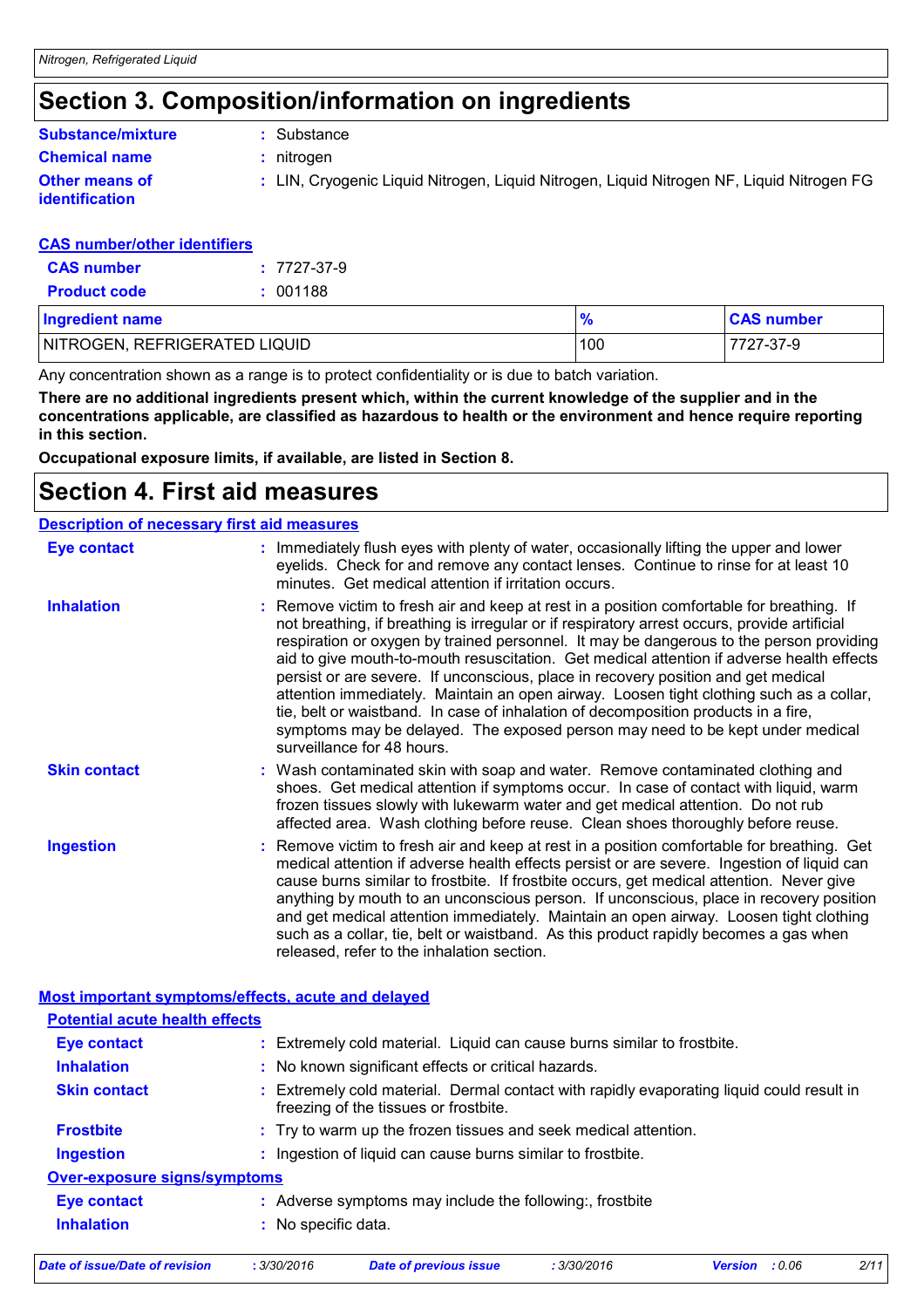# **Section 3. Composition/information on ingredients**

#### **Chemical name :** nitrogen **Other means of identification :** LIN, Cryogenic Liquid Nitrogen, Liquid Nitrogen, Liquid Nitrogen NF, Liquid Nitrogen FG **Substance/mixture :** Substance

#### **CAS number/other identifiers**

| <b>CAS number</b>   | $: 7727 - 37 - 9$ |
|---------------------|-------------------|
| <b>Product code</b> | : 001188          |

| <b>Ingredient name</b>        |     | <b>CAS number</b> |
|-------------------------------|-----|-------------------|
| NITROGEN, REFRIGERATED LIQUID | 100 | 7727-37-9         |

Any concentration shown as a range is to protect confidentiality or is due to batch variation.

**There are no additional ingredients present which, within the current knowledge of the supplier and in the concentrations applicable, are classified as hazardous to health or the environment and hence require reporting in this section.**

**Occupational exposure limits, if available, are listed in Section 8.**

### **Section 4. First aid measures**

| <b>Description of necessary first aid measures</b> |                                                                                                                                                                                                                                                                                                                                                                                                                                                                                                                                                                                                                                                                                                                                                                        |
|----------------------------------------------------|------------------------------------------------------------------------------------------------------------------------------------------------------------------------------------------------------------------------------------------------------------------------------------------------------------------------------------------------------------------------------------------------------------------------------------------------------------------------------------------------------------------------------------------------------------------------------------------------------------------------------------------------------------------------------------------------------------------------------------------------------------------------|
| Eye contact                                        | : Immediately flush eyes with plenty of water, occasionally lifting the upper and lower<br>eyelids. Check for and remove any contact lenses. Continue to rinse for at least 10<br>minutes. Get medical attention if irritation occurs.                                                                                                                                                                                                                                                                                                                                                                                                                                                                                                                                 |
| <b>Inhalation</b>                                  | : Remove victim to fresh air and keep at rest in a position comfortable for breathing. If<br>not breathing, if breathing is irregular or if respiratory arrest occurs, provide artificial<br>respiration or oxygen by trained personnel. It may be dangerous to the person providing<br>aid to give mouth-to-mouth resuscitation. Get medical attention if adverse health effects<br>persist or are severe. If unconscious, place in recovery position and get medical<br>attention immediately. Maintain an open airway. Loosen tight clothing such as a collar,<br>tie, belt or waistband. In case of inhalation of decomposition products in a fire,<br>symptoms may be delayed. The exposed person may need to be kept under medical<br>surveillance for 48 hours. |
| <b>Skin contact</b>                                | : Wash contaminated skin with soap and water. Remove contaminated clothing and<br>shoes. Get medical attention if symptoms occur. In case of contact with liquid, warm<br>frozen tissues slowly with lukewarm water and get medical attention. Do not rub<br>affected area. Wash clothing before reuse. Clean shoes thoroughly before reuse.                                                                                                                                                                                                                                                                                                                                                                                                                           |
| <b>Ingestion</b>                                   | : Remove victim to fresh air and keep at rest in a position comfortable for breathing. Get<br>medical attention if adverse health effects persist or are severe. Ingestion of liquid can<br>cause burns similar to frostbite. If frostbite occurs, get medical attention. Never give<br>anything by mouth to an unconscious person. If unconscious, place in recovery position<br>and get medical attention immediately. Maintain an open airway. Loosen tight clothing<br>such as a collar, tie, belt or waistband. As this product rapidly becomes a gas when<br>released, refer to the inhalation section.                                                                                                                                                          |

#### **Most important symptoms/effects, acute and delayed**

| <b>Potential acute health effects</b>                                                                                              |
|------------------------------------------------------------------------------------------------------------------------------------|
| : Extremely cold material. Liquid can cause burns similar to frostbite.                                                            |
| : No known significant effects or critical hazards.                                                                                |
| : Extremely cold material. Dermal contact with rapidly evaporating liquid could result in<br>freezing of the tissues or frostbite. |
| : Try to warm up the frozen tissues and seek medical attention.                                                                    |
| : Ingestion of liquid can cause burns similar to frostbite.                                                                        |
| <b>Over-exposure signs/symptoms</b>                                                                                                |
| : Adverse symptoms may include the following:, frostbite                                                                           |
| No specific data.                                                                                                                  |
|                                                                                                                                    |

|  | Date of issue/Date of revision | 3/30/2016 | Date of previous issue | 3/30/2016 | <b>Version</b> : 0.06 | 2/11 |
|--|--------------------------------|-----------|------------------------|-----------|-----------------------|------|
|--|--------------------------------|-----------|------------------------|-----------|-----------------------|------|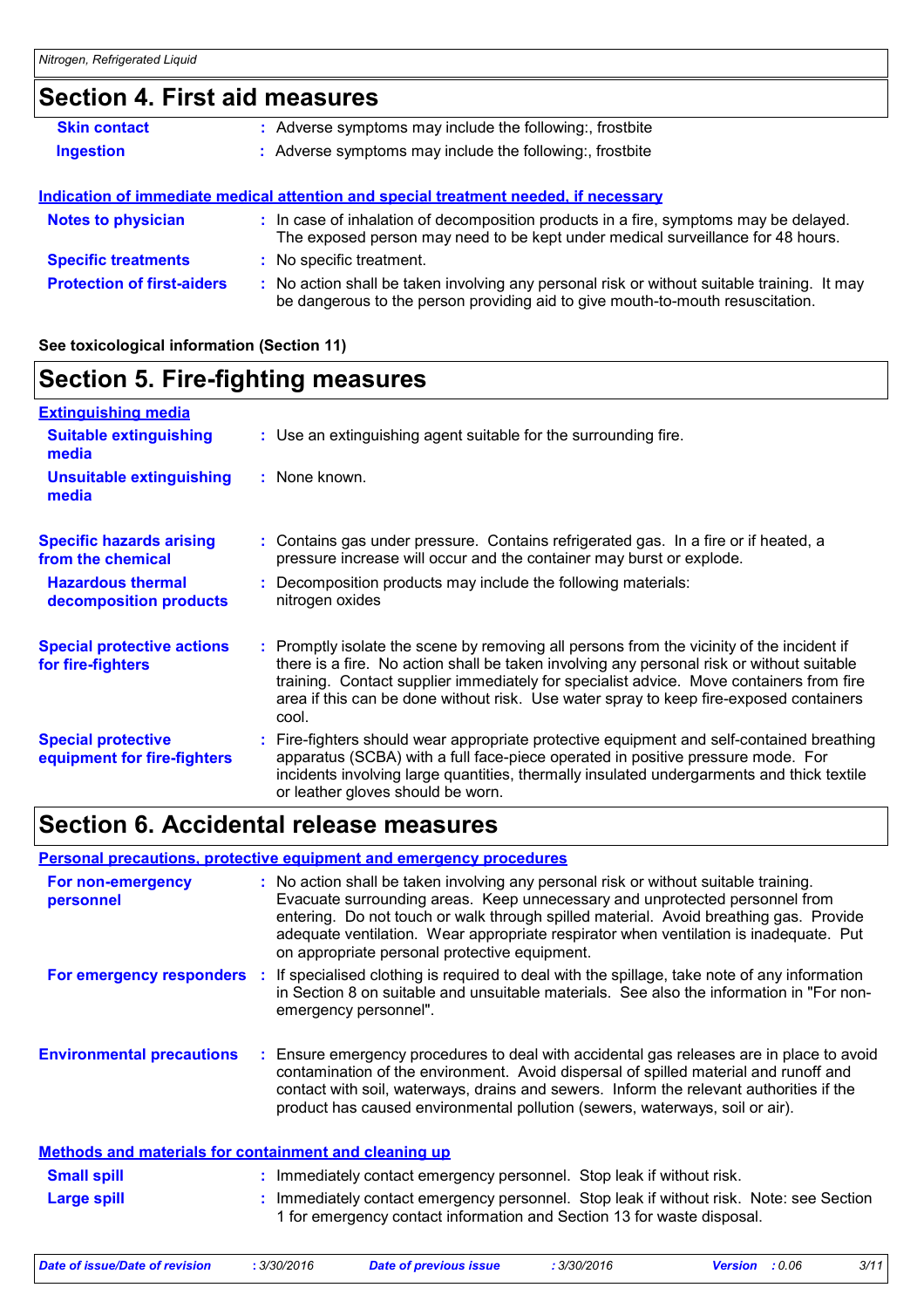# **Section 4. First aid measures**

| <b>Skin contact</b>               | : Adverse symptoms may include the following:, frostbite                                                                                                                      |
|-----------------------------------|-------------------------------------------------------------------------------------------------------------------------------------------------------------------------------|
| <b>Ingestion</b>                  | : Adverse symptoms may include the following:, frostbite                                                                                                                      |
|                                   |                                                                                                                                                                               |
|                                   | Indication of immediate medical attention and special treatment needed, if necessary                                                                                          |
| <b>Notes to physician</b>         | : In case of inhalation of decomposition products in a fire, symptoms may be delayed.<br>The exposed person may need to be kept under medical surveillance for 48 hours.      |
| <b>Specific treatments</b>        | : No specific treatment.                                                                                                                                                      |
| <b>Protection of first-aiders</b> | : No action shall be taken involving any personal risk or without suitable training. It may<br>be dangerous to the person providing aid to give mouth-to-mouth resuscitation. |

#### **See toxicological information (Section 11)**

### **Section 5. Fire-fighting measures**

| <b>Extinguishing media</b>                               |                                                                                                                                                                                                                                                                                                                                                                                      |
|----------------------------------------------------------|--------------------------------------------------------------------------------------------------------------------------------------------------------------------------------------------------------------------------------------------------------------------------------------------------------------------------------------------------------------------------------------|
| <b>Suitable extinguishing</b><br>media                   | : Use an extinguishing agent suitable for the surrounding fire.                                                                                                                                                                                                                                                                                                                      |
| <b>Unsuitable extinguishing</b><br>media                 | : None known.                                                                                                                                                                                                                                                                                                                                                                        |
| <b>Specific hazards arising</b><br>from the chemical     | Contains gas under pressure. Contains refrigerated gas. In a fire or if heated, a<br>pressure increase will occur and the container may burst or explode.                                                                                                                                                                                                                            |
| <b>Hazardous thermal</b><br>decomposition products       | : Decomposition products may include the following materials:<br>nitrogen oxides                                                                                                                                                                                                                                                                                                     |
| <b>Special protective actions</b><br>for fire-fighters   | : Promptly isolate the scene by removing all persons from the vicinity of the incident if<br>there is a fire. No action shall be taken involving any personal risk or without suitable<br>training. Contact supplier immediately for specialist advice. Move containers from fire<br>area if this can be done without risk. Use water spray to keep fire-exposed containers<br>cool. |
| <b>Special protective</b><br>equipment for fire-fighters | Fire-fighters should wear appropriate protective equipment and self-contained breathing<br>apparatus (SCBA) with a full face-piece operated in positive pressure mode. For<br>incidents involving large quantities, thermally insulated undergarments and thick textile<br>or leather gloves should be worn.                                                                         |

## **Section 6. Accidental release measures**

#### **Personal precautions, protective equipment and emergency procedures**

| : No action shall be taken involving any personal risk or without suitable training.<br>Evacuate surrounding areas. Keep unnecessary and unprotected personnel from<br>entering. Do not touch or walk through spilled material. Avoid breathing gas. Provide<br>adequate ventilation. Wear appropriate respirator when ventilation is inadequate. Put<br>on appropriate personal protective equipment. |
|--------------------------------------------------------------------------------------------------------------------------------------------------------------------------------------------------------------------------------------------------------------------------------------------------------------------------------------------------------------------------------------------------------|
| : If specialised clothing is required to deal with the spillage, take note of any information<br>in Section 8 on suitable and unsuitable materials. See also the information in "For non-<br>emergency personnel".                                                                                                                                                                                     |
| : Ensure emergency procedures to deal with accidental gas releases are in place to avoid<br>contamination of the environment. Avoid dispersal of spilled material and runoff and<br>contact with soil, waterways, drains and sewers. Inform the relevant authorities if the<br>product has caused environmental pollution (sewers, waterways, soil or air).                                            |
| <b>Methods and materials for containment and cleaning up</b>                                                                                                                                                                                                                                                                                                                                           |
| : Immediately contact emergency personnel. Stop leak if without risk.                                                                                                                                                                                                                                                                                                                                  |
| : Immediately contact emergency personnel. Stop leak if without risk. Note: see Section<br>1 for emergency contact information and Section 13 for waste disposal.                                                                                                                                                                                                                                      |
|                                                                                                                                                                                                                                                                                                                                                                                                        |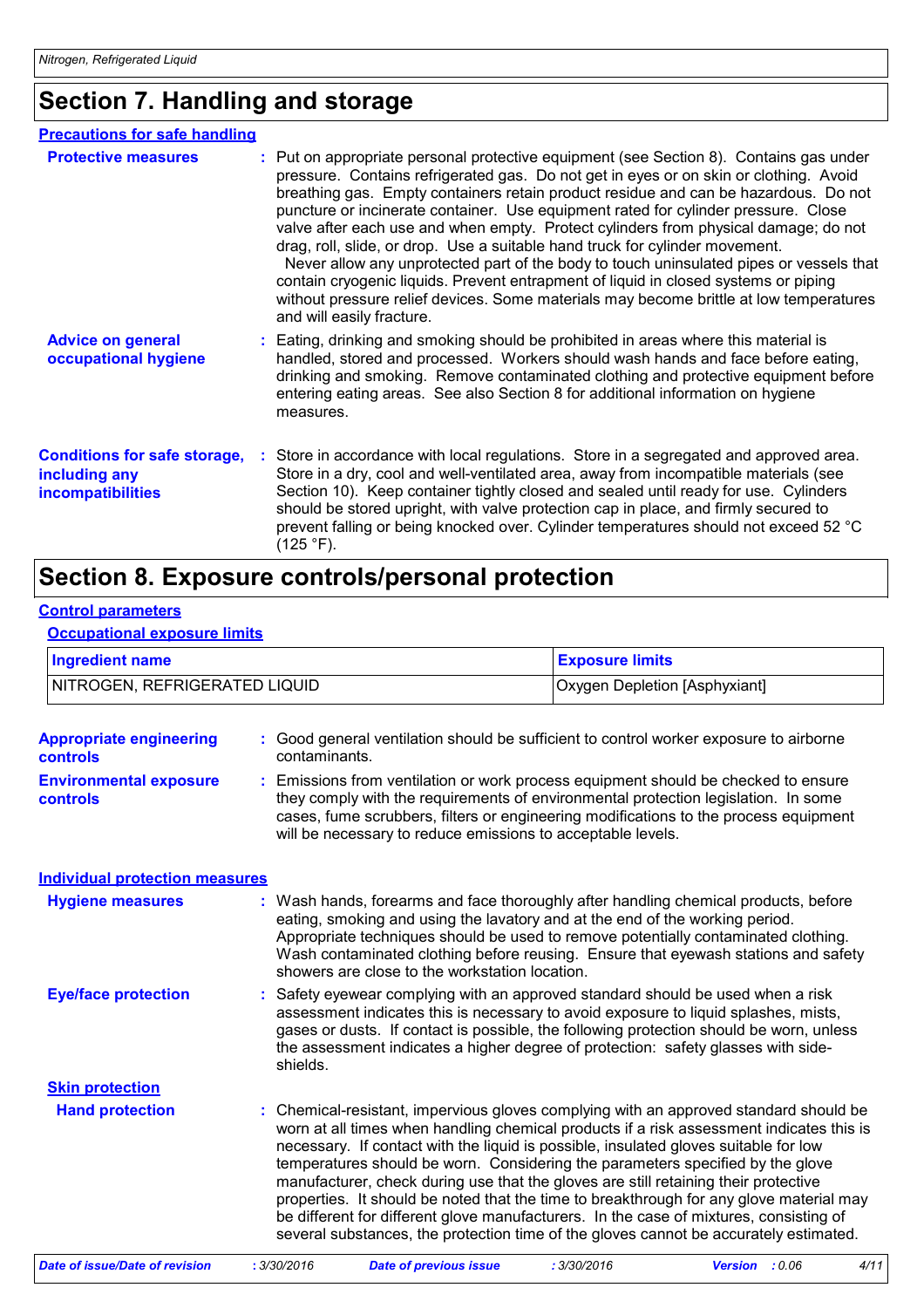# **Section 7. Handling and storage**

| <b>Precautions for safe handling</b>                                             |  |                                                                                                                                                                                                                                                                                                                                                                                                                                                                                                                                                                                                                                                                                                                                                                                                                                              |
|----------------------------------------------------------------------------------|--|----------------------------------------------------------------------------------------------------------------------------------------------------------------------------------------------------------------------------------------------------------------------------------------------------------------------------------------------------------------------------------------------------------------------------------------------------------------------------------------------------------------------------------------------------------------------------------------------------------------------------------------------------------------------------------------------------------------------------------------------------------------------------------------------------------------------------------------------|
| <b>Protective measures</b>                                                       |  | : Put on appropriate personal protective equipment (see Section 8). Contains gas under<br>pressure. Contains refrigerated gas. Do not get in eyes or on skin or clothing. Avoid<br>breathing gas. Empty containers retain product residue and can be hazardous. Do not<br>puncture or incinerate container. Use equipment rated for cylinder pressure. Close<br>valve after each use and when empty. Protect cylinders from physical damage; do not<br>drag, roll, slide, or drop. Use a suitable hand truck for cylinder movement.<br>Never allow any unprotected part of the body to touch uninsulated pipes or vessels that<br>contain cryogenic liquids. Prevent entrapment of liquid in closed systems or piping<br>without pressure relief devices. Some materials may become brittle at low temperatures<br>and will easily fracture. |
| <b>Advice on general</b><br>occupational hygiene                                 |  | : Eating, drinking and smoking should be prohibited in areas where this material is<br>handled, stored and processed. Workers should wash hands and face before eating,<br>drinking and smoking. Remove contaminated clothing and protective equipment before<br>entering eating areas. See also Section 8 for additional information on hygiene<br>measures.                                                                                                                                                                                                                                                                                                                                                                                                                                                                                |
| <b>Conditions for safe storage,</b><br>including any<br><b>incompatibilities</b> |  | Store in accordance with local regulations. Store in a segregated and approved area.<br>Store in a dry, cool and well-ventilated area, away from incompatible materials (see<br>Section 10). Keep container tightly closed and sealed until ready for use. Cylinders<br>should be stored upright, with valve protection cap in place, and firmly secured to<br>prevent falling or being knocked over. Cylinder temperatures should not exceed 52 °C<br>(125 °F).                                                                                                                                                                                                                                                                                                                                                                             |

# **Section 8. Exposure controls/personal protection**

#### **Control parameters**

**Occupational exposure limits**

| <b>Ingredient name</b><br>NITROGEN, REFRIGERATED LIQUID |               |                                                                                                                                                                                                                                                                                                                                                                                                 | <b>Exposure limits</b>                                                                                                                                                                                                                                                                                                                               |                                                                                                                                                                                                                                                                                                                                                                                                                                                                 |  |
|---------------------------------------------------------|---------------|-------------------------------------------------------------------------------------------------------------------------------------------------------------------------------------------------------------------------------------------------------------------------------------------------------------------------------------------------------------------------------------------------|------------------------------------------------------------------------------------------------------------------------------------------------------------------------------------------------------------------------------------------------------------------------------------------------------------------------------------------------------|-----------------------------------------------------------------------------------------------------------------------------------------------------------------------------------------------------------------------------------------------------------------------------------------------------------------------------------------------------------------------------------------------------------------------------------------------------------------|--|
|                                                         |               |                                                                                                                                                                                                                                                                                                                                                                                                 | <b>Oxygen Depletion [Asphyxiant]</b>                                                                                                                                                                                                                                                                                                                 |                                                                                                                                                                                                                                                                                                                                                                                                                                                                 |  |
| <b>Appropriate engineering</b><br>controls              | contaminants. | : Good general ventilation should be sufficient to control worker exposure to airborne                                                                                                                                                                                                                                                                                                          |                                                                                                                                                                                                                                                                                                                                                      |                                                                                                                                                                                                                                                                                                                                                                                                                                                                 |  |
| <b>Environmental exposure</b><br><b>controls</b>        |               | Emissions from ventilation or work process equipment should be checked to ensure<br>they comply with the requirements of environmental protection legislation. In some<br>cases, fume scrubbers, filters or engineering modifications to the process equipment<br>will be necessary to reduce emissions to acceptable levels.                                                                   |                                                                                                                                                                                                                                                                                                                                                      |                                                                                                                                                                                                                                                                                                                                                                                                                                                                 |  |
| <b>Individual protection measures</b>                   |               |                                                                                                                                                                                                                                                                                                                                                                                                 |                                                                                                                                                                                                                                                                                                                                                      |                                                                                                                                                                                                                                                                                                                                                                                                                                                                 |  |
| <b>Hygiene measures</b>                                 |               | Wash hands, forearms and face thoroughly after handling chemical products, before<br>eating, smoking and using the lavatory and at the end of the working period.<br>Appropriate techniques should be used to remove potentially contaminated clothing.<br>Wash contaminated clothing before reusing. Ensure that eyewash stations and safety<br>showers are close to the workstation location. |                                                                                                                                                                                                                                                                                                                                                      |                                                                                                                                                                                                                                                                                                                                                                                                                                                                 |  |
| <b>Eye/face protection</b>                              | shields.      |                                                                                                                                                                                                                                                                                                                                                                                                 | Safety eyewear complying with an approved standard should be used when a risk<br>assessment indicates this is necessary to avoid exposure to liquid splashes, mists,<br>gases or dusts. If contact is possible, the following protection should be worn, unless<br>the assessment indicates a higher degree of protection: safety glasses with side- |                                                                                                                                                                                                                                                                                                                                                                                                                                                                 |  |
| <b>Skin protection</b>                                  |               |                                                                                                                                                                                                                                                                                                                                                                                                 |                                                                                                                                                                                                                                                                                                                                                      |                                                                                                                                                                                                                                                                                                                                                                                                                                                                 |  |
| <b>Hand protection</b>                                  |               | necessary. If contact with the liquid is possible, insulated gloves suitable for low<br>temperatures should be worn. Considering the parameters specified by the glove<br>manufacturer, check during use that the gloves are still retaining their protective                                                                                                                                   |                                                                                                                                                                                                                                                                                                                                                      | : Chemical-resistant, impervious gloves complying with an approved standard should be<br>worn at all times when handling chemical products if a risk assessment indicates this is<br>properties. It should be noted that the time to breakthrough for any glove material may<br>be different for different glove manufacturers. In the case of mixtures, consisting of<br>several substances, the protection time of the gloves cannot be accurately estimated. |  |
| <b>Date of issue/Date of revision</b>                   | : 3/30/2016   | <b>Date of previous issue</b>                                                                                                                                                                                                                                                                                                                                                                   | : 3/30/2016                                                                                                                                                                                                                                                                                                                                          | 4/11<br>Version : 0.06                                                                                                                                                                                                                                                                                                                                                                                                                                          |  |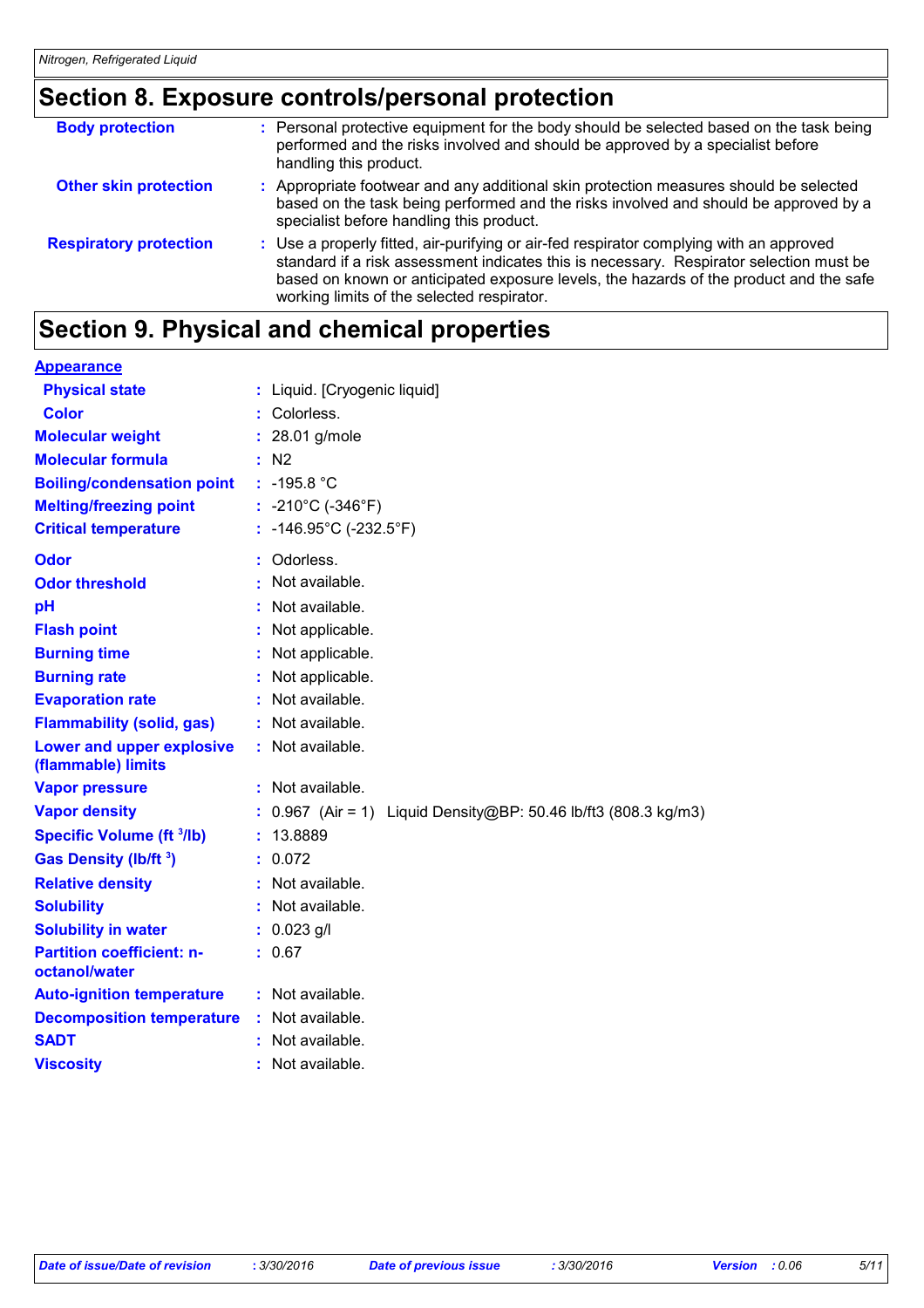# **Section 8. Exposure controls/personal protection**

| <b>Body protection</b>        | : Personal protective equipment for the body should be selected based on the task being<br>performed and the risks involved and should be approved by a specialist before<br>handling this product.                                                                                                                        |
|-------------------------------|----------------------------------------------------------------------------------------------------------------------------------------------------------------------------------------------------------------------------------------------------------------------------------------------------------------------------|
| <b>Other skin protection</b>  | : Appropriate footwear and any additional skin protection measures should be selected<br>based on the task being performed and the risks involved and should be approved by a<br>specialist before handling this product.                                                                                                  |
| <b>Respiratory protection</b> | : Use a properly fitted, air-purifying or air-fed respirator complying with an approved<br>standard if a risk assessment indicates this is necessary. Respirator selection must be<br>based on known or anticipated exposure levels, the hazards of the product and the safe<br>working limits of the selected respirator. |

# **Section 9. Physical and chemical properties**

| <b>Appearance</b>                                 |                                                               |
|---------------------------------------------------|---------------------------------------------------------------|
| <b>Physical state</b>                             | : Liquid. [Cryogenic liquid]                                  |
| <b>Color</b>                                      | Colorless.                                                    |
| <b>Molecular weight</b>                           | $: 28.01$ g/mole                                              |
| <b>Molecular formula</b>                          | : N2                                                          |
| <b>Boiling/condensation point</b>                 | $: -195.8 °C$                                                 |
| <b>Melting/freezing point</b>                     | : $-210^{\circ}$ C ( $-346^{\circ}$ F)                        |
| <b>Critical temperature</b>                       | : -146.95°C (-232.5°F)                                        |
| Odor                                              | Odorless.                                                     |
| <b>Odor threshold</b>                             | Not available.                                                |
| pH                                                | Not available.                                                |
| <b>Flash point</b>                                | Not applicable.                                               |
| <b>Burning time</b>                               | Not applicable.                                               |
| <b>Burning rate</b>                               | Not applicable.                                               |
| <b>Evaporation rate</b>                           | : Not available.                                              |
| <b>Flammability (solid, gas)</b>                  | : Not available.                                              |
| Lower and upper explosive<br>(flammable) limits   | : Not available.                                              |
| <b>Vapor pressure</b>                             | : Not available.                                              |
| <b>Vapor density</b>                              | 0.967 (Air = 1) Liquid Density@BP: 50.46 lb/ft3 (808.3 kg/m3) |
| <b>Specific Volume (ft 3/lb)</b>                  | 13.8889                                                       |
| Gas Density (lb/ft 3)                             | : 0.072                                                       |
| <b>Relative density</b>                           | : Not available.                                              |
| <b>Solubility</b>                                 | Not available.                                                |
| <b>Solubility in water</b>                        | $: 0.023$ g/l                                                 |
| <b>Partition coefficient: n-</b><br>octanol/water | : 0.67                                                        |
| <b>Auto-ignition temperature</b>                  | : Not available.                                              |
| <b>Decomposition temperature</b>                  | : Not available.                                              |
| <b>SADT</b>                                       | Not available.                                                |
| <b>Viscosity</b>                                  | Not available.                                                |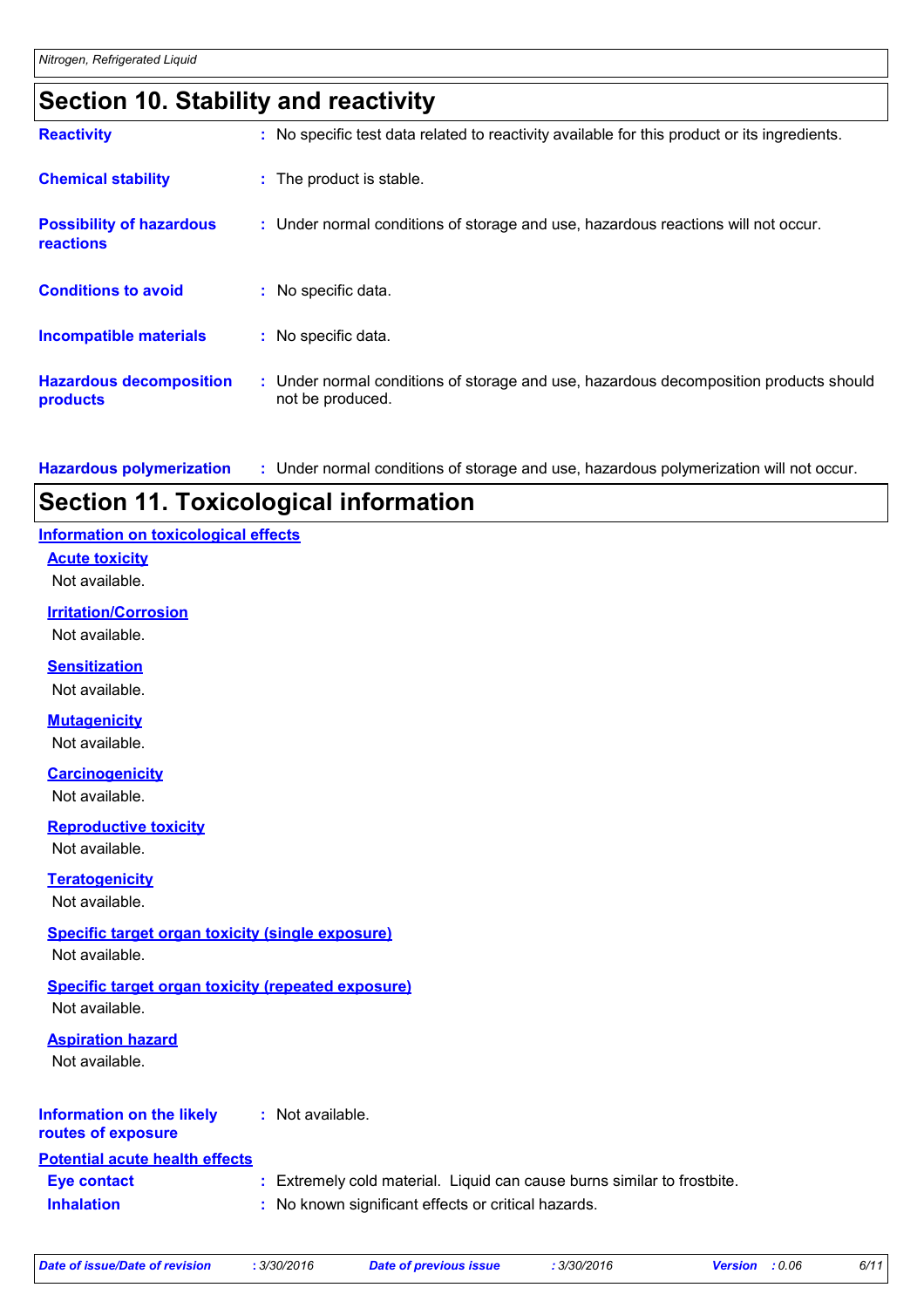# **Section 10. Stability and reactivity**

| <b>Reactivity</b>                            | : No specific test data related to reactivity available for this product or its ingredients.              |
|----------------------------------------------|-----------------------------------------------------------------------------------------------------------|
| <b>Chemical stability</b>                    | : The product is stable.                                                                                  |
| <b>Possibility of hazardous</b><br>reactions | : Under normal conditions of storage and use, hazardous reactions will not occur.                         |
| <b>Conditions to avoid</b>                   | : No specific data.                                                                                       |
| <b>Incompatible materials</b>                | : No specific data.                                                                                       |
| <b>Hazardous decomposition</b><br>products   | : Under normal conditions of storage and use, hazardous decomposition products should<br>not be produced. |

**Hazardous polymerization :** Under normal conditions of storage and use, hazardous polymerization will not occur.

### **Section 11. Toxicological information**

#### **Information on toxicological effects**

**Acute toxicity**

Not available.

**Irritation/Corrosion** Not available.

**Sensitization**

Not available.

**Mutagenicity**

Not available.

**Carcinogenicity**

Not available.

**Reproductive toxicity**

Not available.

**Teratogenicity**

Not available.

#### **Specific target organ toxicity (single exposure)**

Not available.

#### **Specific target organ toxicity (repeated exposure)**

Not available.

#### **Aspiration hazard**

Not available.

#### **Information on the likely routes of exposure :** Not available.

#### **Potential acute health effects**

| <b>Eye contact</b> |  |  |  | Extremely cold material. Liquid can cause burns similar to frostbite. |  |
|--------------------|--|--|--|-----------------------------------------------------------------------|--|
|--------------------|--|--|--|-----------------------------------------------------------------------|--|

**Inhalation :** No known significant effects or critical hazards.

*Date of issue/Date of revision* **:** *3/30/2016 Date of previous issue : 3/30/2016 Version : 0.06 6/11*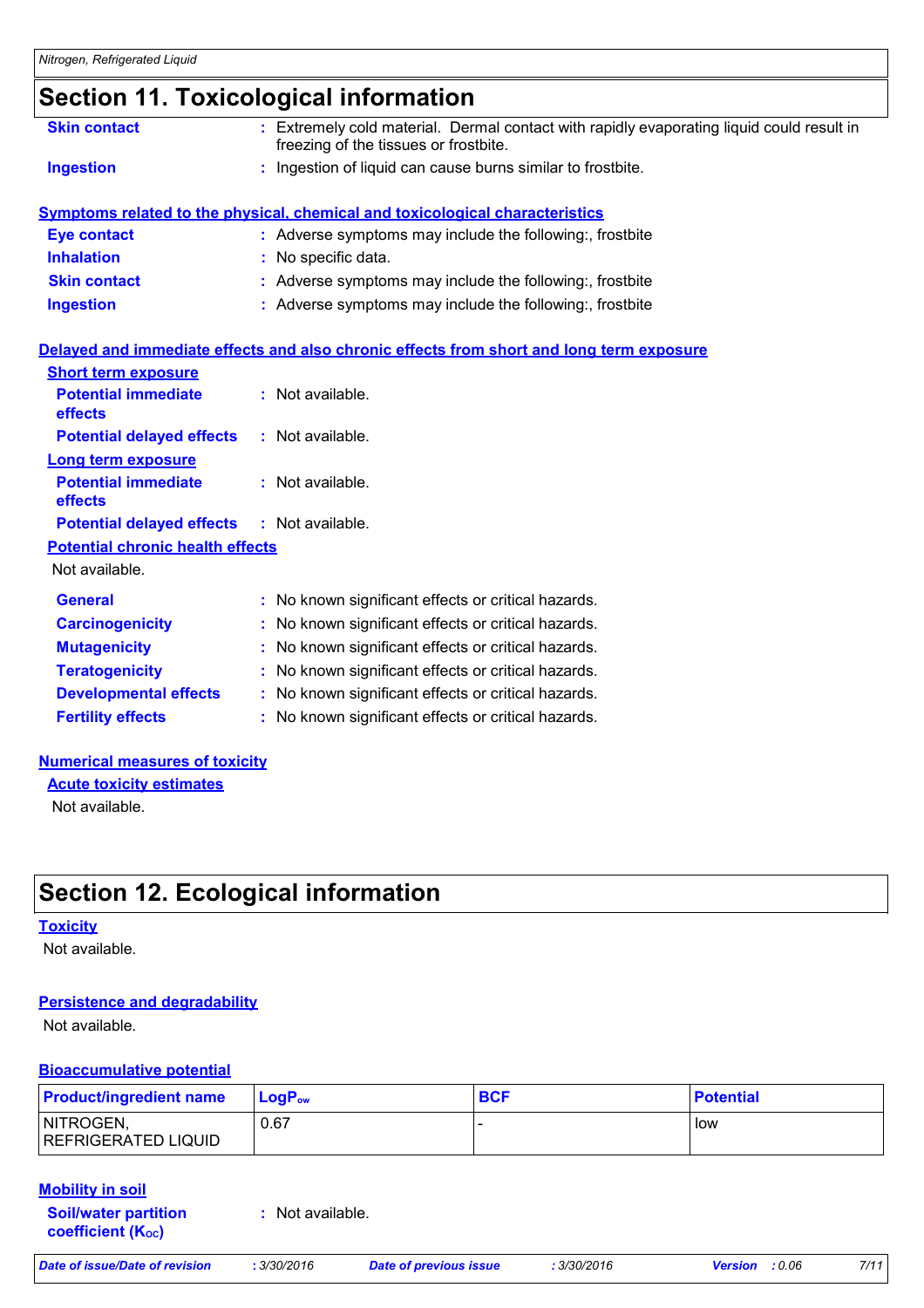### **Section 11. Toxicological information**

|                                                                     | OCCUON TI. TOAICOIOGICAI IIIIOHIIAUOH                                                                                              |
|---------------------------------------------------------------------|------------------------------------------------------------------------------------------------------------------------------------|
| <b>Skin contact</b>                                                 | : Extremely cold material. Dermal contact with rapidly evaporating liquid could result in<br>freezing of the tissues or frostbite. |
| <b>Ingestion</b>                                                    | : Ingestion of liquid can cause burns similar to frostbite.                                                                        |
|                                                                     | <b>Symptoms related to the physical, chemical and toxicological characteristics</b>                                                |
| <b>Eye contact</b>                                                  | : Adverse symptoms may include the following:, frostbite                                                                           |
| <b>Inhalation</b>                                                   | : No specific data.                                                                                                                |
| <b>Skin contact</b>                                                 | : Adverse symptoms may include the following:, frostbite                                                                           |
| <b>Ingestion</b>                                                    | : Adverse symptoms may include the following:, frostbite                                                                           |
| <b>Short term exposure</b><br><b>Potential immediate</b><br>effects | Delayed and immediate effects and also chronic effects from short and long term exposure<br>: Not available.                       |
| <b>Potential delayed effects</b>                                    | $:$ Not available.                                                                                                                 |
| <b>Long term exposure</b>                                           |                                                                                                                                    |
| <b>Potential immediate</b><br>effects                               | : Not available.                                                                                                                   |
| <b>Potential delayed effects</b>                                    | $:$ Not available.                                                                                                                 |
| <b>Potential chronic health effects</b>                             |                                                                                                                                    |
| Not available.                                                      |                                                                                                                                    |
|                                                                     |                                                                                                                                    |

| <b>General</b>               | : No known significant effects or critical hazards. |
|------------------------------|-----------------------------------------------------|
| <b>Carcinogenicity</b>       | : No known significant effects or critical hazards. |
| <b>Mutagenicity</b>          | : No known significant effects or critical hazards. |
| <b>Teratogenicity</b>        | : No known significant effects or critical hazards. |
| <b>Developmental effects</b> | : No known significant effects or critical hazards. |
| <b>Fertility effects</b>     | : No known significant effects or critical hazards. |

#### **Numerical measures of toxicity**

Not available. **Acute toxicity estimates**

# **Section 12. Ecological information**

#### **Toxicity**

Not available.

#### **Persistence and degradability**

Not available.

#### **Bioaccumulative potential**

| <b>Product/ingredient name</b>          | $LoaPow$ | <b>BCF</b> | <b>Potential</b> |
|-----------------------------------------|----------|------------|------------------|
| NITROGEN,<br><b>REFRIGERATED LIQUID</b> | 0.67     |            | low              |

#### **Mobility in soil**

**Soil/water partition coefficient (Koc) :** Not available.

| af rawiaian | .200 |
|-------------|------|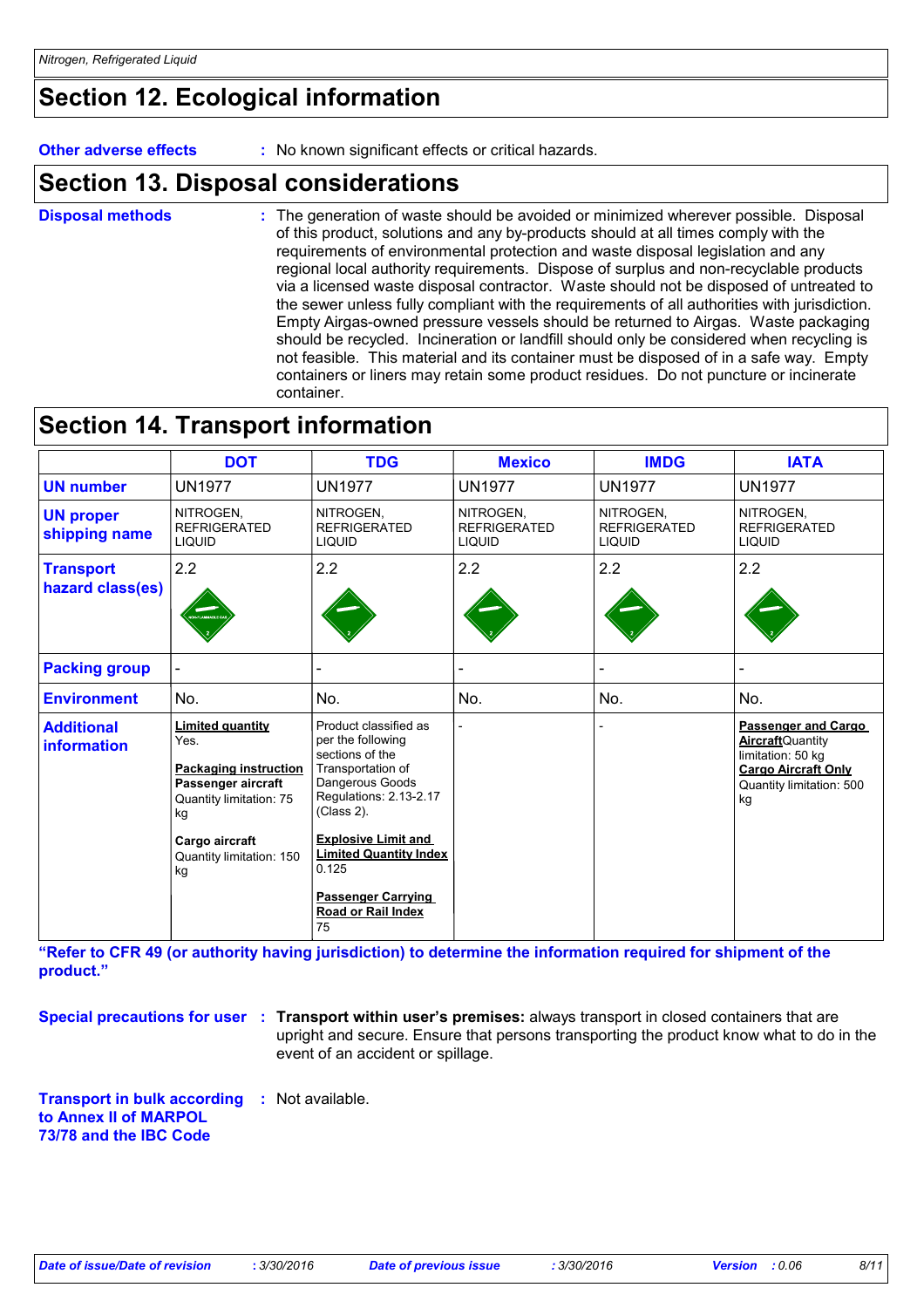# **Section 12. Ecological information**

**Other adverse effects** : No known significant effects or critical hazards.

## **Section 13. Disposal considerations**

The generation of waste should be avoided or minimized wherever possible. Disposal of this product, solutions and any by-products should at all times comply with the requirements of environmental protection and waste disposal legislation and any regional local authority requirements. Dispose of surplus and non-recyclable products via a licensed waste disposal contractor. Waste should not be disposed of untreated to the sewer unless fully compliant with the requirements of all authorities with jurisdiction. Empty Airgas-owned pressure vessels should be returned to Airgas. Waste packaging should be recycled. Incineration or landfill should only be considered when recycling is not feasible. This material and its container must be disposed of in a safe way. Empty containers or liners may retain some product residues. Do not puncture or incinerate container. **Disposal methods :**

## **Section 14. Transport information**

|                                                                                                                                                                                                                       | <b>DOT</b>    | <b>TDG</b>                                                                                                                                                                                                                                                                     | <b>Mexico</b>                                     | <b>IMDG</b>                                       | <b>IATA</b>                                                                                                                          |
|-----------------------------------------------------------------------------------------------------------------------------------------------------------------------------------------------------------------------|---------------|--------------------------------------------------------------------------------------------------------------------------------------------------------------------------------------------------------------------------------------------------------------------------------|---------------------------------------------------|---------------------------------------------------|--------------------------------------------------------------------------------------------------------------------------------------|
| <b>UN number</b>                                                                                                                                                                                                      | <b>UN1977</b> | <b>UN1977</b>                                                                                                                                                                                                                                                                  | <b>UN1977</b>                                     | <b>UN1977</b>                                     | <b>UN1977</b>                                                                                                                        |
| NITROGEN.<br><b>UN proper</b><br><b>REFRIGERATED</b><br>shipping name<br><b>LIQUID</b>                                                                                                                                |               | NITROGEN,<br><b>REFRIGERATED</b><br><b>LIQUID</b>                                                                                                                                                                                                                              | NITROGEN.<br><b>REFRIGERATED</b><br><b>LIQUID</b> | NITROGEN.<br><b>REFRIGERATED</b><br><b>LIQUID</b> | NITROGEN.<br><b>REFRIGERATED</b><br><b>LIQUID</b>                                                                                    |
| 2.2<br><b>Transport</b><br>hazard class(es)<br>.<br>Inflammadus G                                                                                                                                                     |               | 2.2                                                                                                                                                                                                                                                                            | 2.2                                               | 2.2                                               | 2.2                                                                                                                                  |
| <b>Packing group</b>                                                                                                                                                                                                  |               |                                                                                                                                                                                                                                                                                |                                                   |                                                   |                                                                                                                                      |
| <b>Environment</b>                                                                                                                                                                                                    | No.           | No.                                                                                                                                                                                                                                                                            | No.                                               | No.                                               | No.                                                                                                                                  |
| <b>Limited quantity</b><br><b>Additional</b><br>Yes.<br><b>information</b><br><b>Packaging instruction</b><br>Passenger aircraft<br>Quantity limitation: 75<br>kg<br>Cargo aircraft<br>Quantity limitation: 150<br>kg |               | Product classified as<br>per the following<br>sections of the<br>Transportation of<br>Dangerous Goods<br>Regulations: 2.13-2.17<br>(Class 2).<br><b>Explosive Limit and</b><br><b>Limited Quantity Index</b><br>0.125<br><b>Passenger Carrying</b><br>Road or Rail Index<br>75 | $\overline{\phantom{0}}$                          |                                                   | Passenger and Cargo<br><b>Aircraft</b> Quantity<br>limitation: 50 kg<br><b>Cargo Aircraft Only</b><br>Quantity limitation: 500<br>kg |

**"Refer to CFR 49 (or authority having jurisdiction) to determine the information required for shipment of the product."** 

**Special precautions for user** : Transport within user's premises: always transport in closed containers that are upright and secure. Ensure that persons transporting the product know what to do in the event of an accident or spillage.

**Transport in bulk according :** Not available. **to Annex II of MARPOL 73/78 and the IBC Code**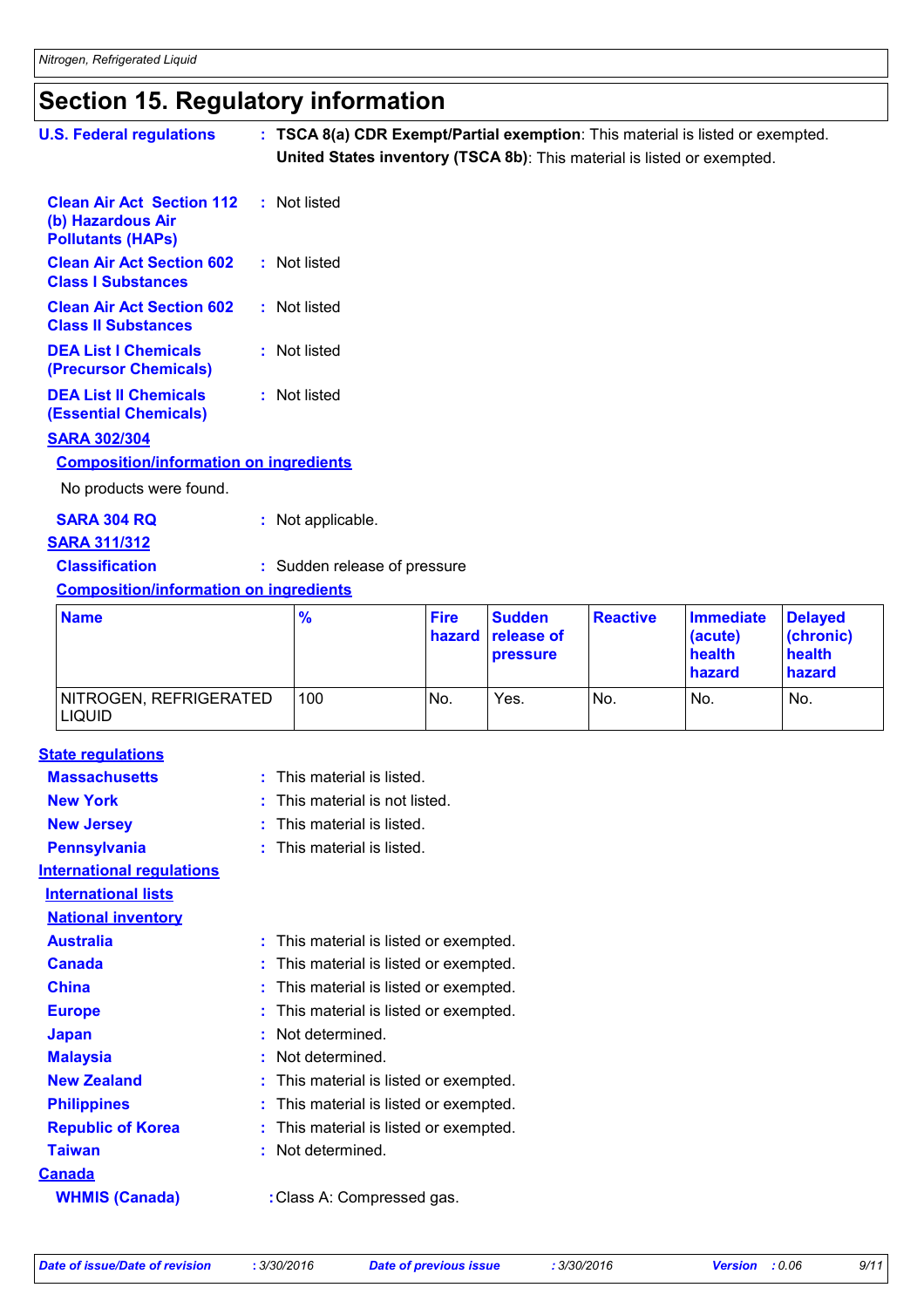# **Section 15. Regulatory information**

| <b>U.S. Federal regulations</b>                                                   | : TSCA 8(a) CDR Exempt/Partial exemption: This material is listed or exempted.<br>United States inventory (TSCA 8b): This material is listed or exempted. |             |               |                 |                  |                |
|-----------------------------------------------------------------------------------|-----------------------------------------------------------------------------------------------------------------------------------------------------------|-------------|---------------|-----------------|------------------|----------------|
| <b>Clean Air Act Section 112</b><br>(b) Hazardous Air<br><b>Pollutants (HAPS)</b> | : Not listed                                                                                                                                              |             |               |                 |                  |                |
| <b>Clean Air Act Section 602</b><br><b>Class I Substances</b>                     | : Not listed                                                                                                                                              |             |               |                 |                  |                |
| <b>Clean Air Act Section 602</b><br><b>Class II Substances</b>                    | : Not listed                                                                                                                                              |             |               |                 |                  |                |
| <b>DEA List I Chemicals</b><br>(Precursor Chemicals)                              | : Not listed                                                                                                                                              |             |               |                 |                  |                |
| <b>DEA List II Chemicals</b><br><b>(Essential Chemicals)</b>                      | : Not listed                                                                                                                                              |             |               |                 |                  |                |
| <b>SARA 302/304</b>                                                               |                                                                                                                                                           |             |               |                 |                  |                |
| <b>Composition/information on ingredients</b>                                     |                                                                                                                                                           |             |               |                 |                  |                |
| No products were found.                                                           |                                                                                                                                                           |             |               |                 |                  |                |
| <b>SARA 304 RQ</b>                                                                | : Not applicable.                                                                                                                                         |             |               |                 |                  |                |
| <b>SARA 311/312</b>                                                               |                                                                                                                                                           |             |               |                 |                  |                |
| <b>Classification</b>                                                             | : Sudden release of pressure                                                                                                                              |             |               |                 |                  |                |
| <b>Composition/information on ingredients</b>                                     |                                                                                                                                                           |             |               |                 |                  |                |
| <b>Name</b>                                                                       | %                                                                                                                                                         | <b>Fire</b> | <b>Sudden</b> | <b>Reactive</b> | <b>Immediate</b> | <b>Delayed</b> |

| <b>Name</b>                             | $\frac{9}{6}$ | <b>Fire</b> | <b>Sudden</b><br><b>hazard release of</b><br><b>pressure</b> | <b>Reactive</b> | Immediate<br>(acute)<br>health<br>hazard | <b>Delaved</b><br>(chronic)<br><b>health</b><br><b>hazard</b> |
|-----------------------------------------|---------------|-------------|--------------------------------------------------------------|-----------------|------------------------------------------|---------------------------------------------------------------|
| NITROGEN, REFRIGERATED<br><b>LIQUID</b> | 100           | No.         | Yes.                                                         | No.             | No.                                      | No.                                                           |

|  | <b>State regulations</b> |  |
|--|--------------------------|--|
|  |                          |  |

| <b>Massachusetts</b>             | This material is listed.               |
|----------------------------------|----------------------------------------|
| <b>New York</b>                  | This material is not listed.<br>t.     |
| <b>New Jersey</b>                | $:$ This material is listed.           |
| <b>Pennsylvania</b>              | $:$ This material is listed.           |
| <b>International requlations</b> |                                        |
| <b>International lists</b>       |                                        |
| <b>National inventory</b>        |                                        |
| <b>Australia</b>                 | This material is listed or exempted.   |
| <b>Canada</b>                    | This material is listed or exempted.   |
| <b>China</b>                     | This material is listed or exempted.   |
| <b>Europe</b>                    | This material is listed or exempted.   |
| <b>Japan</b>                     | Not determined.                        |
| <b>Malaysia</b>                  | Not determined.                        |
| <b>New Zealand</b>               | : This material is listed or exempted. |
| <b>Philippines</b>               | This material is listed or exempted.   |
| <b>Republic of Korea</b>         | This material is listed or exempted.   |
| <b>Taiwan</b>                    | Not determined.                        |
| <u>Canada</u>                    |                                        |
| <b>WHMIS (Canada)</b>            | : Class A: Compressed gas.             |
|                                  |                                        |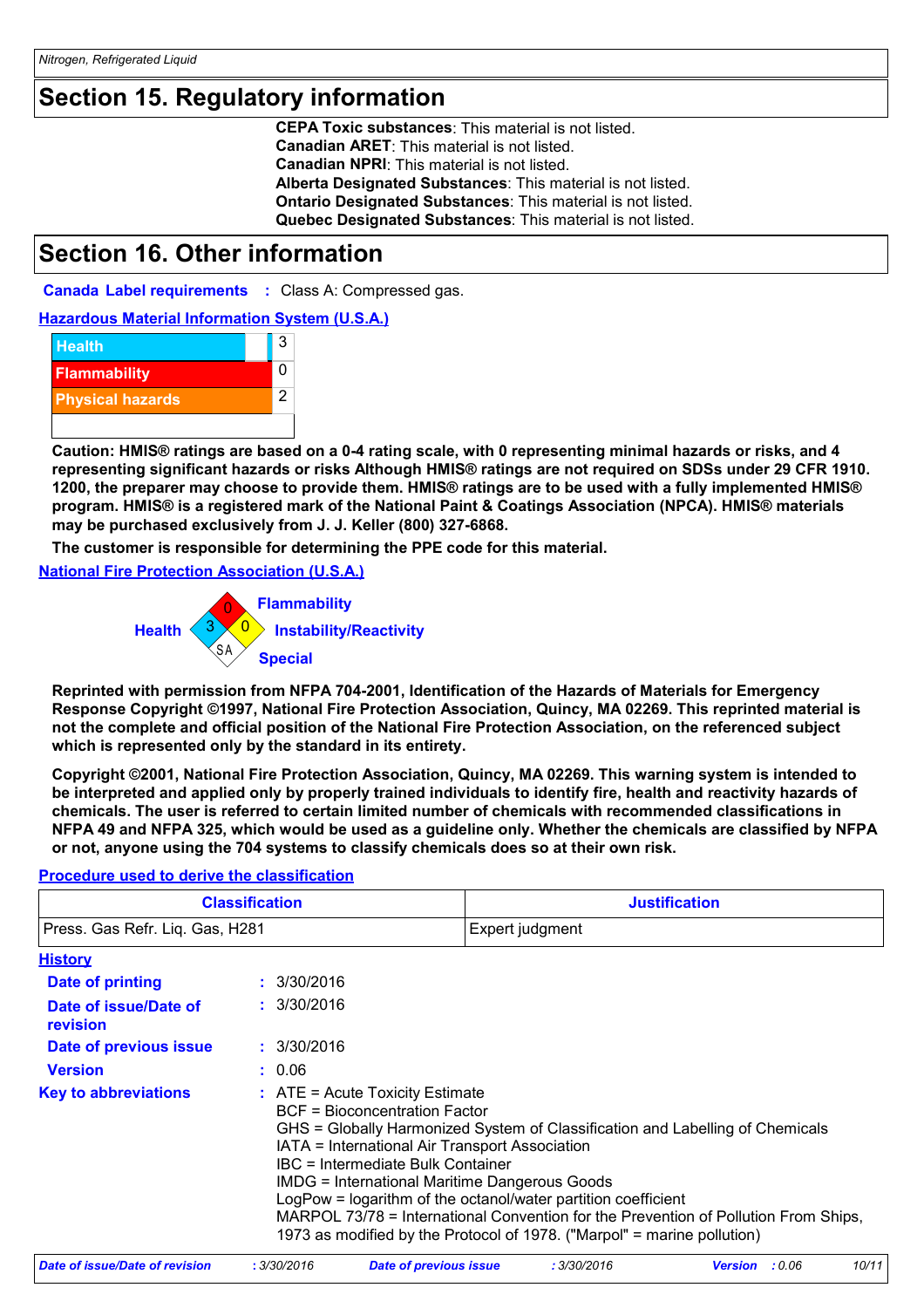### **Section 15. Regulatory information**

**CEPA Toxic substances**: This material is not listed. **Canadian ARET**: This material is not listed. **Canadian NPRI**: This material is not listed. **Alberta Designated Substances**: This material is not listed. **Ontario Designated Substances**: This material is not listed. **Quebec Designated Substances**: This material is not listed.

### **Section 16. Other information**

**Canada Label requirements :** Class A: Compressed gas.

**Hazardous Material Information System (U.S.A.)**



**Caution: HMIS® ratings are based on a 0-4 rating scale, with 0 representing minimal hazards or risks, and 4 representing significant hazards or risks Although HMIS® ratings are not required on SDSs under 29 CFR 1910. 1200, the preparer may choose to provide them. HMIS® ratings are to be used with a fully implemented HMIS® program. HMIS® is a registered mark of the National Paint & Coatings Association (NPCA). HMIS® materials may be purchased exclusively from J. J. Keller (800) 327-6868.** CEPA Toxic substances: This material is not listed.<br>Canadian ARET: This material is not listed.<br>Canadian ARET: This material is not listed.<br>Alberta Designated Substances: This material is not listed.<br>Alberta Designated Sub

**The customer is responsible for determining the PPE code for this material.**

**National Fire Protection Association (U.S.A.)**



**Reprinted with permission from NFPA 704-2001, Identification of the Hazards of Materials for Emergency Response Copyright ©1997, National Fire Protection Association, Quincy, MA 02269. This reprinted material is not the complete and official position of the National Fire Protection Association, on the referenced subject which is represented only by the standard in its entirety.**

**Copyright ©2001, National Fire Protection Association, Quincy, MA 02269. This warning system is intended to be interpreted and applied only by properly trained individuals to identify fire, health and reactivity hazards of chemicals. The user is referred to certain limited number of chemicals with recommended classifications in NFPA 49 and NFPA 325, which would be used as a guideline only. Whether the chemicals are classified by NFPA or not, anyone using the 704 systems to classify chemicals does so at their own risk.**

#### **Procedure used to derive the classification**

| <b>Classification</b>             |  |                                                                                                                                                                                                                                                                                                                                                                                                                                                                                                                                | <b>Justification</b> |  |  |
|-----------------------------------|--|--------------------------------------------------------------------------------------------------------------------------------------------------------------------------------------------------------------------------------------------------------------------------------------------------------------------------------------------------------------------------------------------------------------------------------------------------------------------------------------------------------------------------------|----------------------|--|--|
| Press. Gas Refr. Liq. Gas, H281   |  |                                                                                                                                                                                                                                                                                                                                                                                                                                                                                                                                | Expert judgment      |  |  |
| <b>History</b>                    |  |                                                                                                                                                                                                                                                                                                                                                                                                                                                                                                                                |                      |  |  |
| Date of printing                  |  | : 3/30/2016                                                                                                                                                                                                                                                                                                                                                                                                                                                                                                                    |                      |  |  |
| Date of issue/Date of<br>revision |  | : 3/30/2016                                                                                                                                                                                                                                                                                                                                                                                                                                                                                                                    |                      |  |  |
| Date of previous issue            |  | : 3/30/2016                                                                                                                                                                                                                                                                                                                                                                                                                                                                                                                    |                      |  |  |
| <b>Version</b>                    |  | : 0.06                                                                                                                                                                                                                                                                                                                                                                                                                                                                                                                         |                      |  |  |
| <b>Key to abbreviations</b>       |  | $:$ ATE = Acute Toxicity Estimate<br>BCF = Bioconcentration Factor<br>GHS = Globally Harmonized System of Classification and Labelling of Chemicals<br>IATA = International Air Transport Association<br>IBC = Intermediate Bulk Container<br>IMDG = International Maritime Dangerous Goods<br>LogPow = logarithm of the octanol/water partition coefficient<br>MARPOL 73/78 = International Convention for the Prevention of Pollution From Ships,<br>1973 as modified by the Protocol of 1978. ("Marpol" = marine pollution) |                      |  |  |

|  | Date of issue/Date of revision | 3/30/2016 | Date of previous issue | : 3/30/2016 | : 0.06<br><b>Version</b> | 10/11 |
|--|--------------------------------|-----------|------------------------|-------------|--------------------------|-------|
|--|--------------------------------|-----------|------------------------|-------------|--------------------------|-------|